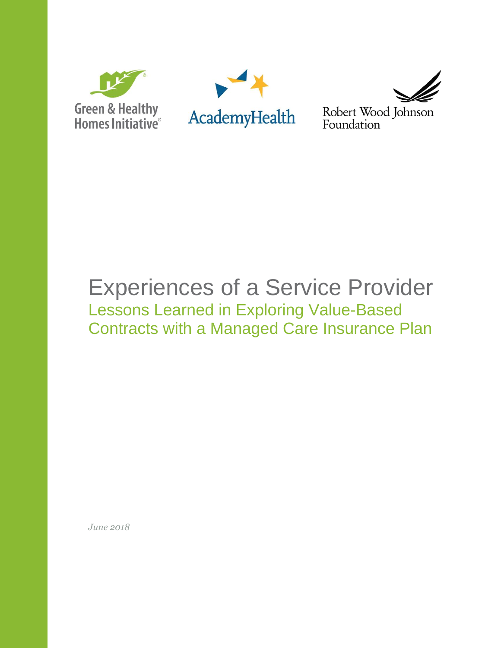





Robert Wood Johnson Foundation

# Experiences of a Service Provider Lessons Learned in Exploring Value-Based Contracts with a Managed Care Insurance Plan

*June 2018*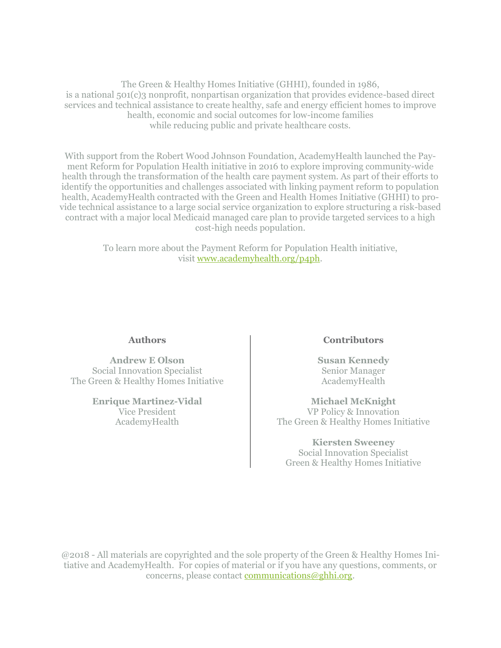The Green & Healthy Homes Initiative (GHHI), founded in 1986, is a national 501(c)3 nonprofit, nonpartisan organization that provides evidence-based direct services and technical assistance to create healthy, safe and energy efficient homes to improve health, economic and social outcomes for low-income families while reducing public and private healthcare costs.

With support from the Robert Wood Johnson Foundation, AcademyHealth launched the Payment Reform for Population Health initiative in 2016 to explore improving community-wide health through the transformation of the health care payment system. As part of their efforts to identify the opportunities and challenges associated with linking payment reform to population health, AcademyHealth contracted with the Green and Health Homes Initiative (GHHI) to provide technical assistance to a large social service organization to explore structuring a risk-based contract with a major local Medicaid managed care plan to provide targeted services to a high cost-high needs population.

> To learn more about the Payment Reform for Population Health initiative, visit www.academyhealth.org/p4ph.

#### **Authors**

**Andrew E Olson** Social Innovation Specialist The Green & Healthy Homes Initiative

> **Enrique Martinez-Vidal** Vice President AcademyHealth

#### **Contributors**

**Susan Kennedy** Senior Manager AcademyHealth

**Michael McKnight** VP Policy & Innovation The Green & Healthy Homes Initiative

#### **Kiersten Sweeney**

Social Innovation Specialist Green & Healthy Homes Initiative

@2018 - All materials are copyrighted and the sole property of the Green & Healthy Homes Initiative and AcademyHealth. For copies of material or if you have any questions, comments, or concerns, please contac[t communications@ghhi.org.](mailto:communications@ghhi.org)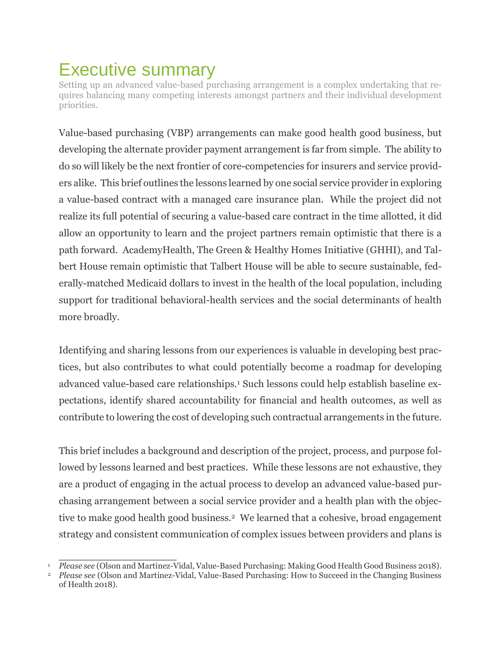## Executive summary

Setting up an advanced value-based purchasing arrangement is a complex undertaking that requires balancing many competing interests amongst partners and their individual development priorities.

Value-based purchasing (VBP) arrangements can make good health good business, but developing the alternate provider payment arrangement is far from simple. The ability to do so will likely be the next frontier of core-competencies for insurers and service providers alike. This brief outlines the lessons learned by one social service provider in exploring a value-based contract with a managed care insurance plan. While the project did not realize its full potential of securing a value-based care contract in the time allotted, it did allow an opportunity to learn and the project partners remain optimistic that there is a path forward. AcademyHealth, The Green & Healthy Homes Initiative (GHHI), and Talbert House remain optimistic that Talbert House will be able to secure sustainable, federally-matched Medicaid dollars to invest in the health of the local population, including support for traditional behavioral-health services and the social determinants of health more broadly.

Identifying and sharing lessons from our experiences is valuable in developing best practices, but also contributes to what could potentially become a roadmap for developing advanced value-based care relationships.<sup>1</sup> Such lessons could help establish baseline expectations, identify shared accountability for financial and health outcomes, as well as contribute to lowering the cost of developing such contractual arrangements in the future.

This brief includes a background and description of the project, process, and purpose followed by lessons learned and best practices. While these lessons are not exhaustive, they are a product of engaging in the actual process to develop an advanced value-based purchasing arrangement between a social service provider and a health plan with the objective to make good health good business.2 We learned that a cohesive, broad engagement strategy and consistent communication of complex issues between providers and plans is

 <sup>1</sup> *Please see* (Olson and Martinez-Vidal, Value-Based Purchasing: Making Good Health Good Business 2018)*.* 

<sup>2</sup> *Please see* (Olson and Martinez-Vidal, Value-Based Purchasing: How to Succeed in the Changing Business of Health 2018).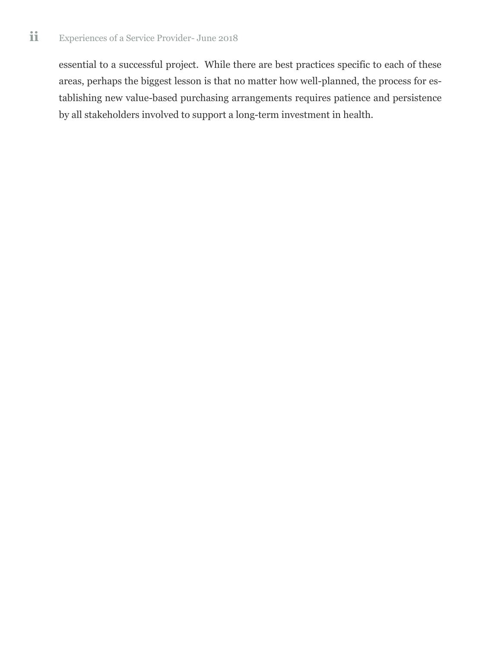essential to a successful project. While there are best practices specific to each of these areas, perhaps the biggest lesson is that no matter how well-planned, the process for establishing new value-based purchasing arrangements requires patience and persistence by all stakeholders involved to support a long-term investment in health.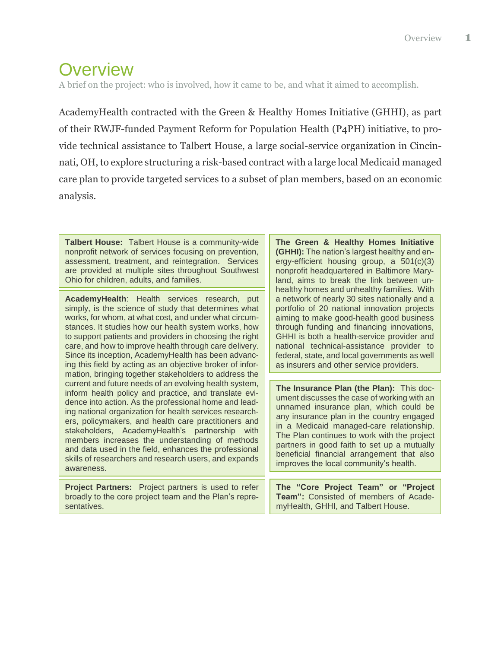## **Overview**

A brief on the project: who is involved, how it came to be, and what it aimed to accomplish.

AcademyHealth contracted with the Green & Healthy Homes Initiative (GHHI), as part of their RWJF-funded Payment Reform for Population Health (P4PH) initiative, to provide technical assistance to Talbert House, a large social-service organization in Cincinnati, OH, to explore structuring a risk-based contract with a large local Medicaid managed care plan to provide targeted services to a subset of plan members, based on an economic analysis.

**Talbert House:** Talbert House is a community-wide nonprofit network of services focusing on prevention, assessment, treatment, and reintegration. Services are provided at multiple sites throughout Southwest Ohio for children, adults, and families.

**AcademyHealth**: Health services research, put simply, is the science of study that determines what works, for whom, at what cost, and under what circumstances. It studies how our health system works, how to support patients and providers in choosing the right care, and how to improve health through care delivery. Since its inception, AcademyHealth has been advancing this field by acting as an objective broker of information, bringing together stakeholders to address the current and future needs of an evolving health system, inform health policy and practice, and translate evidence into action. As the professional home and leading national organization for health services researchers, policymakers, and health care practitioners and stakeholders, AcademyHealth's partnership with members increases the understanding of methods and data used in the field, enhances the professional skills of researchers and research users, and expands awareness.

**Project Partners:** Project partners is used to refer broadly to the core project team and the Plan's representatives.

**The Green & Healthy Homes Initiative (GHHI):** The nation's largest healthy and energy-efficient housing group, a 501(c)(3) nonprofit headquartered in Baltimore Maryland, aims to break the link between unhealthy homes and unhealthy families. With a network of nearly 30 sites nationally and a portfolio of 20 national innovation projects aiming to make good-health good business through funding and financing innovations, GHHI is both a health-service provider and national technical-assistance provider to federal, state, and local governments as well as insurers and other service providers.

**The Insurance Plan (the Plan):** This document discusses the case of working with an unnamed insurance plan, which could be any insurance plan in the country engaged in a Medicaid managed-care relationship. The Plan continues to work with the project partners in good faith to set up a mutually beneficial financial arrangement that also improves the local community's health.

**The "Core Project Team" or "Project Team":** Consisted of members of AcademyHealth, GHHI, and Talbert House.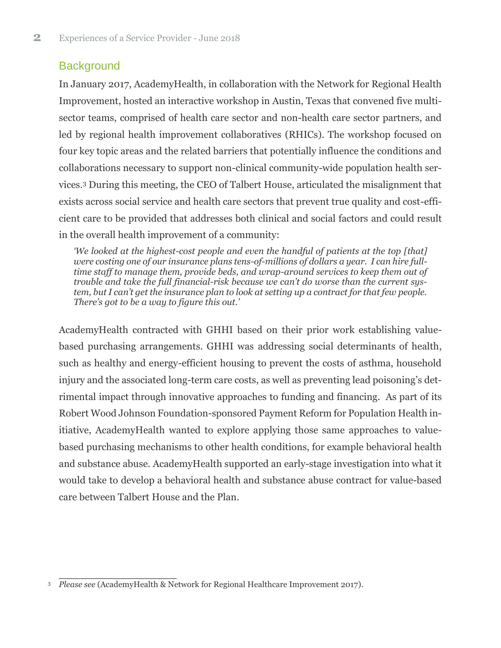### **Background**

In January 2017, AcademyHealth, in collaboration with the Network for Regional Health Improvement, hosted an interactive workshop in Austin, Texas that convened five multisector teams, comprised of health care sector and non-health care sector partners, and led by regional health improvement collaboratives (RHICs). The workshop focused on four key topic areas and the related barriers that potentially influence the conditions and collaborations necessary to support non-clinical community-wide population health services.<sup>3</sup> During this meeting, the CEO of Talbert House, articulated the misalignment that exists across social service and health care sectors that prevent true quality and cost-efficient care to be provided that addresses both clinical and social factors and could result in the overall health improvement of a community:

*'We looked at the highest-cost people and even the handful of patients at the top [that] were costing one of our insurance plans tens-of-millions of dollars a year. I can hire fulltime staff to manage them, provide beds, and wrap-around services to keep them out of trouble and take the full financial-risk because we can't do worse than the current system, but I can't get the insurance plan to look at setting up a contract for that few people. There's got to be a way to figure this out.'*

AcademyHealth contracted with GHHI based on their prior work establishing valuebased purchasing arrangements. GHHI was addressing social determinants of health, such as healthy and energy-efficient housing to prevent the costs of asthma, household injury and the associated long-term care costs, as well as preventing lead poisoning's detrimental impact through innovative approaches to funding and financing. As part of its Robert Wood Johnson Foundation-sponsored Payment Reform for Population Health initiative, AcademyHealth wanted to explore applying those same approaches to valuebased purchasing mechanisms to other health conditions, for example behavioral health and substance abuse. AcademyHealth supported an early-stage investigation into what it would take to develop a behavioral health and substance abuse contract for value-based care between Talbert House and the Plan.

 <sup>3</sup> *Please see* (AcademyHealth & Network for Regional Healthcare Improvement 2017)*.*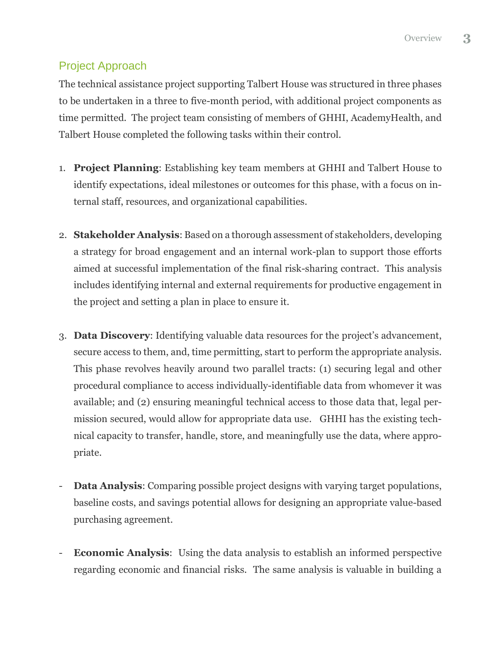### Project Approach

The technical assistance project supporting Talbert House was structured in three phases to be undertaken in a three to five-month period, with additional project components as time permitted. The project team consisting of members of GHHI, AcademyHealth, and Talbert House completed the following tasks within their control.

- 1. **Project Planning**: Establishing key team members at GHHI and Talbert House to identify expectations, ideal milestones or outcomes for this phase, with a focus on internal staff, resources, and organizational capabilities.
- 2. **Stakeholder Analysis**: Based on a thorough assessment of stakeholders, developing a strategy for broad engagement and an internal work-plan to support those efforts aimed at successful implementation of the final risk-sharing contract. This analysis includes identifying internal and external requirements for productive engagement in the project and setting a plan in place to ensure it.
- 3. **Data Discovery**: Identifying valuable data resources for the project's advancement, secure access to them, and, time permitting, start to perform the appropriate analysis. This phase revolves heavily around two parallel tracts: (1) securing legal and other procedural compliance to access individually-identifiable data from whomever it was available; and (2) ensuring meaningful technical access to those data that, legal permission secured, would allow for appropriate data use. GHHI has the existing technical capacity to transfer, handle, store, and meaningfully use the data, where appropriate.
- **Data Analysis:** Comparing possible project designs with varying target populations, baseline costs, and savings potential allows for designing an appropriate value-based purchasing agreement.
- **Economic Analysis:** Using the data analysis to establish an informed perspective regarding economic and financial risks. The same analysis is valuable in building a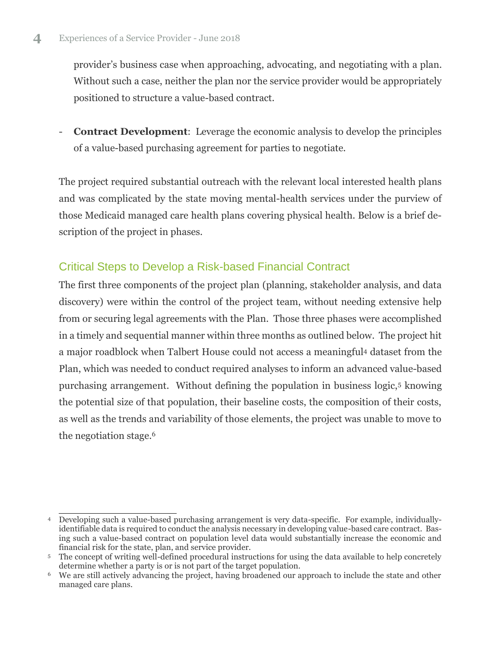provider's business case when approaching, advocating, and negotiating with a plan. Without such a case, neither the plan nor the service provider would be appropriately positioned to structure a value-based contract.

- **Contract Development**: Leverage the economic analysis to develop the principles of a value-based purchasing agreement for parties to negotiate.

The project required substantial outreach with the relevant local interested health plans and was complicated by the state moving mental-health services under the purview of those Medicaid managed care health plans covering physical health. Below is a brief description of the project in phases.

### Critical Steps to Develop a Risk-based Financial Contract

The first three components of the project plan (planning, stakeholder analysis, and data discovery) were within the control of the project team, without needing extensive help from or securing legal agreements with the Plan. Those three phases were accomplished in a timely and sequential manner within three months as outlined below. The project hit a major roadblock when Talbert House could not access a meaningful<sup>4</sup> dataset from the Plan, which was needed to conduct required analyses to inform an advanced value-based purchasing arrangement. Without defining the population in business logic,<sup>5</sup> knowing the potential size of that population, their baseline costs, the composition of their costs, as well as the trends and variability of those elements, the project was unable to move to the negotiation stage. 6

<sup>&</sup>lt;sup>4</sup> Developing such a value-based purchasing arrangement is very data-specific. For example, individuallyidentifiable data is required to conduct the analysis necessary in developing value-based care contract. Basing such a value-based contract on population level data would substantially increase the economic and financial risk for the state, plan, and service provider.

<sup>5</sup> The concept of writing well-defined procedural instructions for using the data available to help concretely determine whether a party is or is not part of the target population.

<sup>6</sup> We are still actively advancing the project, having broadened our approach to include the state and other managed care plans.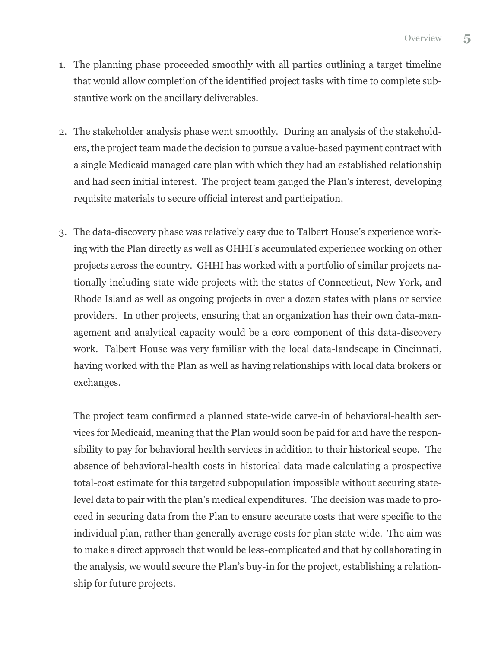- 1. The planning phase proceeded smoothly with all parties outlining a target timeline that would allow completion of the identified project tasks with time to complete substantive work on the ancillary deliverables.
- 2. The stakeholder analysis phase went smoothly. During an analysis of the stakeholders, the project team made the decision to pursue a value-based payment contract with a single Medicaid managed care plan with which they had an established relationship and had seen initial interest. The project team gauged the Plan's interest, developing requisite materials to secure official interest and participation.
- 3. The data-discovery phase was relatively easy due to Talbert House's experience working with the Plan directly as well as GHHI's accumulated experience working on other projects across the country. GHHI has worked with a portfolio of similar projects nationally including state-wide projects with the states of Connecticut, New York, and Rhode Island as well as ongoing projects in over a dozen states with plans or service providers. In other projects, ensuring that an organization has their own data-management and analytical capacity would be a core component of this data-discovery work. Talbert House was very familiar with the local data-landscape in Cincinnati, having worked with the Plan as well as having relationships with local data brokers or exchanges.

The project team confirmed a planned state-wide carve-in of behavioral-health services for Medicaid, meaning that the Plan would soon be paid for and have the responsibility to pay for behavioral health services in addition to their historical scope. The absence of behavioral-health costs in historical data made calculating a prospective total-cost estimate for this targeted subpopulation impossible without securing statelevel data to pair with the plan's medical expenditures. The decision was made to proceed in securing data from the Plan to ensure accurate costs that were specific to the individual plan, rather than generally average costs for plan state-wide. The aim was to make a direct approach that would be less-complicated and that by collaborating in the analysis, we would secure the Plan's buy-in for the project, establishing a relationship for future projects.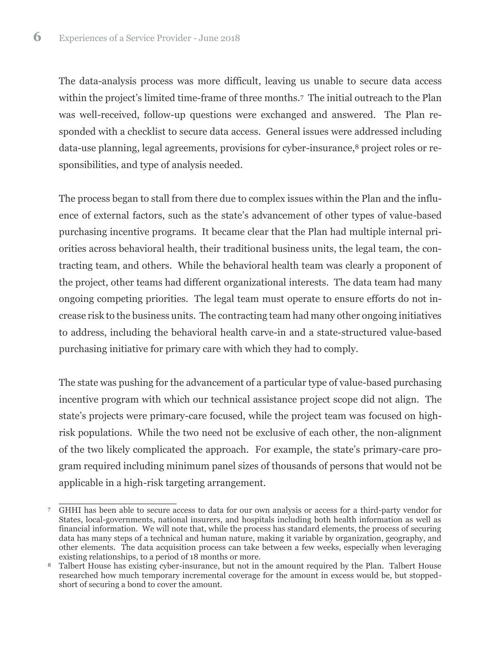The data-analysis process was more difficult, leaving us unable to secure data access within the project's limited time-frame of three months. <sup>7</sup> The initial outreach to the Plan was well-received, follow-up questions were exchanged and answered. The Plan responded with a checklist to secure data access. General issues were addressed including data-use planning, legal agreements, provisions for cyber-insurance,<sup>8</sup> project roles or responsibilities, and type of analysis needed.

The process began to stall from there due to complex issues within the Plan and the influence of external factors, such as the state's advancement of other types of value-based purchasing incentive programs. It became clear that the Plan had multiple internal priorities across behavioral health, their traditional business units, the legal team, the contracting team, and others. While the behavioral health team was clearly a proponent of the project, other teams had different organizational interests. The data team had many ongoing competing priorities. The legal team must operate to ensure efforts do not increase risk to the business units. The contracting team had many other ongoing initiatives to address, including the behavioral health carve-in and a state-structured value-based purchasing initiative for primary care with which they had to comply.

The state was pushing for the advancement of a particular type of value-based purchasing incentive program with which our technical assistance project scope did not align. The state's projects were primary-care focused, while the project team was focused on highrisk populations. While the two need not be exclusive of each other, the non-alignment of the two likely complicated the approach. For example, the state's primary-care program required including minimum panel sizes of thousands of persons that would not be applicable in a high-risk targeting arrangement.

<sup>1</sup> <sup>7</sup> GHHI has been able to secure access to data for our own analysis or access for a third-party vendor for States, local-governments, national insurers, and hospitals including both health information as well as financial information. We will note that, while the process has standard elements, the process of securing data has many steps of a technical and human nature, making it variable by organization, geography, and other elements. The data acquisition process can take between a few weeks, especially when leveraging existing relationships, to a period of 18 months or more.

Talbert House has existing cyber-insurance, but not in the amount required by the Plan. Talbert House researched how much temporary incremental coverage for the amount in excess would be, but stoppedshort of securing a bond to cover the amount.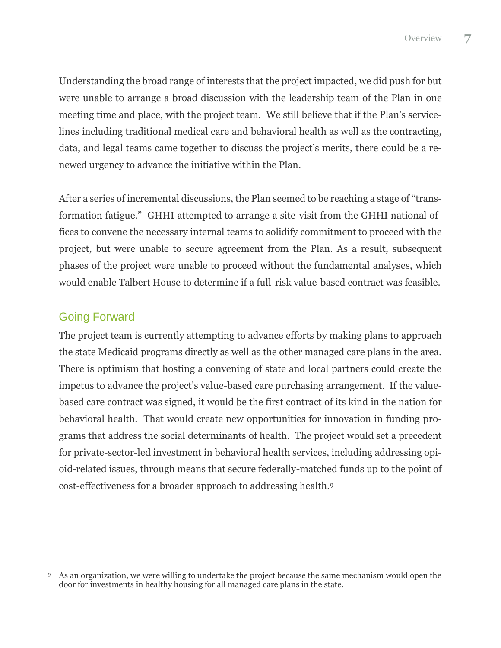Understanding the broad range of interests that the project impacted, we did push for but were unable to arrange a broad discussion with the leadership team of the Plan in one meeting time and place, with the project team. We still believe that if the Plan's servicelines including traditional medical care and behavioral health as well as the contracting, data, and legal teams came together to discuss the project's merits, there could be a renewed urgency to advance the initiative within the Plan.

After a series of incremental discussions, the Plan seemed to be reaching a stage of "transformation fatigue." GHHI attempted to arrange a site-visit from the GHHI national offices to convene the necessary internal teams to solidify commitment to proceed with the project, but were unable to secure agreement from the Plan. As a result, subsequent phases of the project were unable to proceed without the fundamental analyses, which would enable Talbert House to determine if a full-risk value-based contract was feasible.

### Going Forward

The project team is currently attempting to advance efforts by making plans to approach the state Medicaid programs directly as well as the other managed care plans in the area. There is optimism that hosting a convening of state and local partners could create the impetus to advance the project's value-based care purchasing arrangement. If the valuebased care contract was signed, it would be the first contract of its kind in the nation for behavioral health. That would create new opportunities for innovation in funding programs that address the social determinants of health. The project would set a precedent for private-sector-led investment in behavioral health services, including addressing opioid-related issues, through means that secure federally-matched funds up to the point of cost-effectiveness for a broader approach to addressing health.<sup>9</sup>

<sup>&</sup>lt;sup>9</sup> As an organization, we were willing to undertake the project because the same mechanism would open the door for investments in healthy housing for all managed care plans in the state.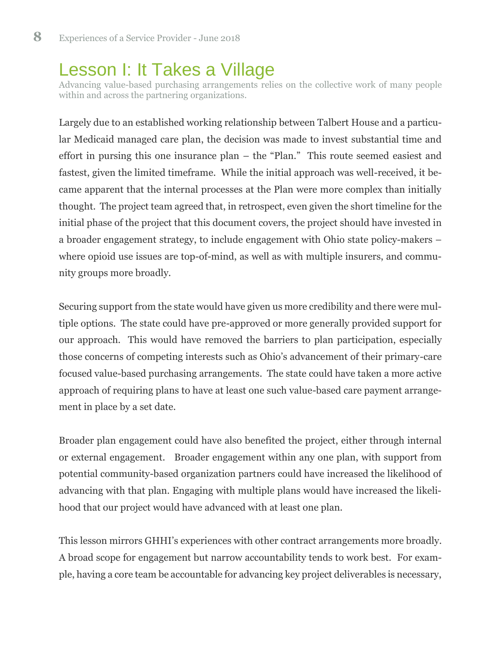## Lesson I: It Takes a Village

Advancing value-based purchasing arrangements relies on the collective work of many people within and across the partnering organizations.

Largely due to an established working relationship between Talbert House and a particular Medicaid managed care plan, the decision was made to invest substantial time and effort in pursing this one insurance plan – the "Plan." This route seemed easiest and fastest, given the limited timeframe. While the initial approach was well-received, it became apparent that the internal processes at the Plan were more complex than initially thought. The project team agreed that, in retrospect, even given the short timeline for the initial phase of the project that this document covers, the project should have invested in a broader engagement strategy, to include engagement with Ohio state policy-makers – where opioid use issues are top-of-mind, as well as with multiple insurers, and community groups more broadly.

Securing support from the state would have given us more credibility and there were multiple options. The state could have pre-approved or more generally provided support for our approach. This would have removed the barriers to plan participation, especially those concerns of competing interests such as Ohio's advancement of their primary-care focused value-based purchasing arrangements. The state could have taken a more active approach of requiring plans to have at least one such value-based care payment arrangement in place by a set date.

Broader plan engagement could have also benefited the project, either through internal or external engagement. Broader engagement within any one plan, with support from potential community-based organization partners could have increased the likelihood of advancing with that plan. Engaging with multiple plans would have increased the likelihood that our project would have advanced with at least one plan.

This lesson mirrors GHHI's experiences with other contract arrangements more broadly. A broad scope for engagement but narrow accountability tends to work best. For example, having a core team be accountable for advancing key project deliverables is necessary,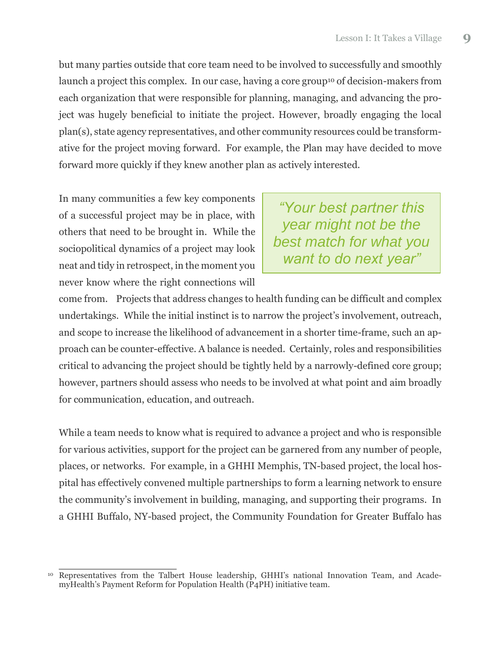but many parties outside that core team need to be involved to successfully and smoothly launch a project this complex. In our case, having a core group<sup>10</sup> of decision-makers from each organization that were responsible for planning, managing, and advancing the project was hugely beneficial to initiate the project. However, broadly engaging the local plan(s), state agency representatives, and other community resources could be transformative for the project moving forward. For example, the Plan may have decided to move forward more quickly if they knew another plan as actively interested.

In many communities a few key components of a successful project may be in place, with others that need to be brought in. While the sociopolitical dynamics of a project may look neat and tidy in retrospect, in the moment you never know where the right connections will

*"Your best partner this year might not be the best match for what you want to do next year"*

come from. Projects that address changes to health funding can be difficult and complex undertakings. While the initial instinct is to narrow the project's involvement, outreach, and scope to increase the likelihood of advancement in a shorter time-frame, such an approach can be counter-effective. A balance is needed. Certainly, roles and responsibilities critical to advancing the project should be tightly held by a narrowly-defined core group; however, partners should assess who needs to be involved at what point and aim broadly for communication, education, and outreach.

While a team needs to know what is required to advance a project and who is responsible for various activities, support for the project can be garnered from any number of people, places, or networks. For example, in a GHHI Memphis, TN-based project, the local hospital has effectively convened multiple partnerships to form a learning network to ensure the community's involvement in building, managing, and supporting their programs. In a GHHI Buffalo, NY-based project, the Community Foundation for Greater Buffalo has

<sup>&</sup>lt;sup>10</sup> Representatives from the Talbert House leadership, GHHI's national Innovation Team, and AcademyHealth's Payment Reform for Population Health (P4PH) initiative team.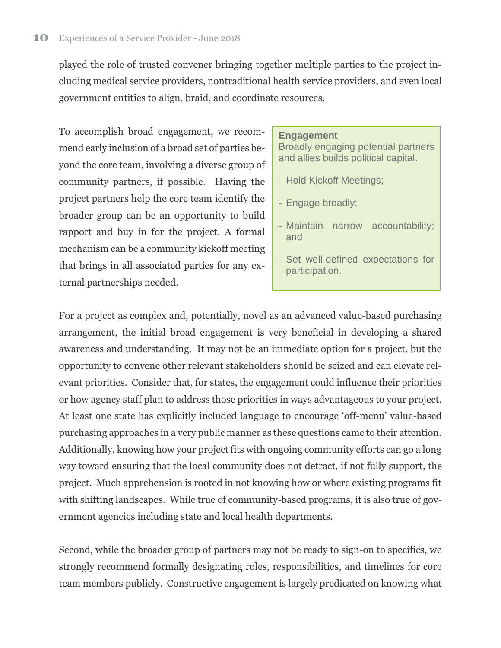played the role of trusted convener bringing together multiple parties to the project including medical service providers, nontraditional health service providers, and even local government entities to align, braid, and coordinate resources.

To accomplish broad engagement, we recommend early inclusion of a broad set of parties beyond the core team, involving a diverse group of community partners, if possible. Having the project partners help the core team identify the broader group can be an opportunity to build rapport and buy in for the project. A formal mechanism can be a community kickoff meeting that brings in all associated parties for any external partnerships needed.

#### **Engagement**

Broadly engaging potential partners and allies builds political capital.

- Hold Kickoff Meetings;
- Engage broadly;
- Maintain narrow accountability; and
- Set well-defined expectations for participation.

For a project as complex and, potentially, novel as an advanced value-based purchasing arrangement, the initial broad engagement is very beneficial in developing a shared awareness and understanding. It may not be an immediate option for a project, but the opportunity to convene other relevant stakeholders should be seized and can elevate relevant priorities. Consider that, for states, the engagement could influence their priorities or how agency staff plan to address those priorities in ways advantageous to your project. At least one state has explicitly included language to encourage 'off-menu' value-based purchasing approaches in a very public manner as these questions came to their attention. Additionally, knowing how your project fits with ongoing community efforts can go a long way toward ensuring that the local community does not detract, if not fully support, the project. Much apprehension is rooted in not knowing how or where existing programs fit with shifting landscapes. While true of community-based programs, it is also true of government agencies including state and local health departments.

Second, while the broader group of partners may not be ready to sign-on to specifics, we strongly recommend formally designating roles, responsibilities, and timelines for core team members publicly. Constructive engagement is largely predicated on knowing what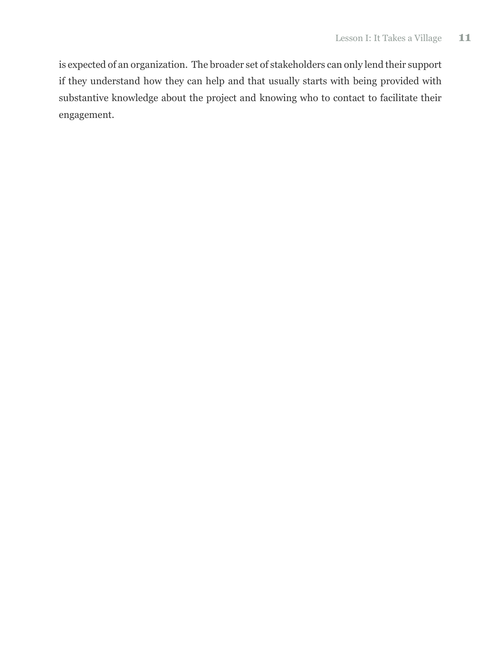is expected of an organization. The broader set of stakeholders can only lend their support if they understand how they can help and that usually starts with being provided with substantive knowledge about the project and knowing who to contact to facilitate their engagement.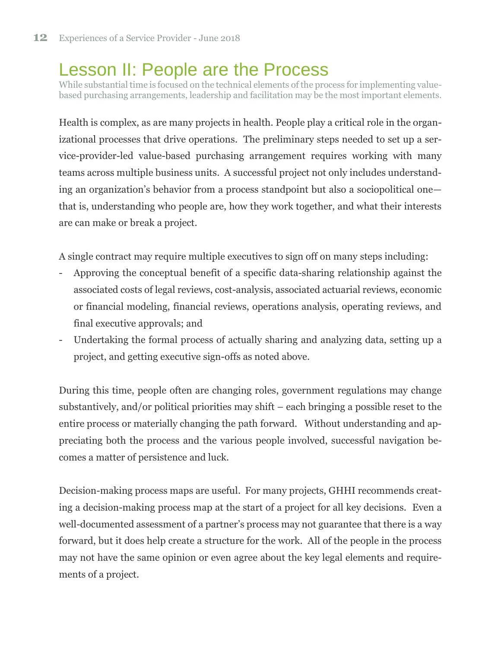## Lesson II: People are the Process

While substantial time is focused on the technical elements of the process for implementing valuebased purchasing arrangements, leadership and facilitation may be the most important elements.

Health is complex, as are many projects in health. People play a critical role in the organizational processes that drive operations. The preliminary steps needed to set up a service-provider-led value-based purchasing arrangement requires working with many teams across multiple business units. A successful project not only includes understanding an organization's behavior from a process standpoint but also a sociopolitical one that is, understanding who people are, how they work together, and what their interests are can make or break a project.

A single contract may require multiple executives to sign off on many steps including:

- Approving the conceptual benefit of a specific data-sharing relationship against the associated costs of legal reviews, cost-analysis, associated actuarial reviews, economic or financial modeling, financial reviews, operations analysis, operating reviews, and final executive approvals; and
- Undertaking the formal process of actually sharing and analyzing data, setting up a project, and getting executive sign-offs as noted above.

During this time, people often are changing roles, government regulations may change substantively, and/or political priorities may shift – each bringing a possible reset to the entire process or materially changing the path forward. Without understanding and appreciating both the process and the various people involved, successful navigation becomes a matter of persistence and luck.

Decision-making process maps are useful. For many projects, GHHI recommends creating a decision-making process map at the start of a project for all key decisions. Even a well-documented assessment of a partner's process may not guarantee that there is a way forward, but it does help create a structure for the work. All of the people in the process may not have the same opinion or even agree about the key legal elements and requirements of a project.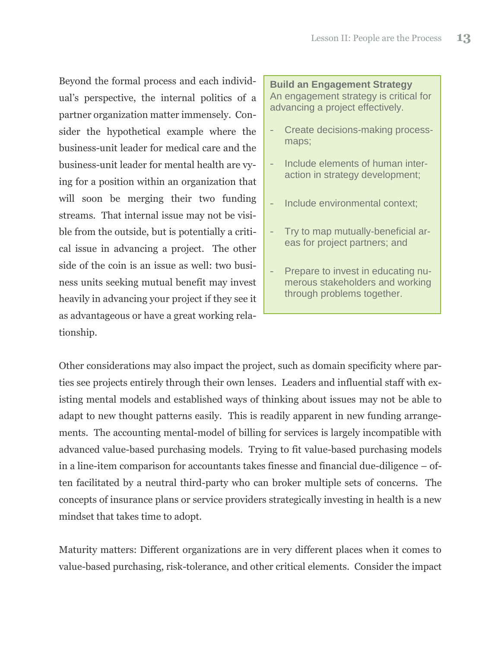Beyond the formal process and each individual's perspective, the internal politics of a partner organization matter immensely. Consider the hypothetical example where the business-unit leader for medical care and the business-unit leader for mental health are vying for a position within an organization that will soon be merging their two funding streams. That internal issue may not be visible from the outside, but is potentially a critical issue in advancing a project. The other side of the coin is an issue as well: two business units seeking mutual benefit may invest heavily in advancing your project if they see it as advantageous or have a great working relationship.

**Build an Engagement Strategy** An engagement strategy is critical for advancing a project effectively.

- Create decisions-making processmaps;
- Include elements of human interaction in strategy development;
- Include environmental context;
- Try to map mutually-beneficial areas for project partners; and
- Prepare to invest in educating numerous stakeholders and working through problems together.

Other considerations may also impact the project, such as domain specificity where parties see projects entirely through their own lenses. Leaders and influential staff with existing mental models and established ways of thinking about issues may not be able to adapt to new thought patterns easily. This is readily apparent in new funding arrangements. The accounting mental-model of billing for services is largely incompatible with advanced value-based purchasing models. Trying to fit value-based purchasing models in a line-item comparison for accountants takes finesse and financial due-diligence – often facilitated by a neutral third-party who can broker multiple sets of concerns. The concepts of insurance plans or service providers strategically investing in health is a new mindset that takes time to adopt.

Maturity matters: Different organizations are in very different places when it comes to value-based purchasing, risk-tolerance, and other critical elements. Consider the impact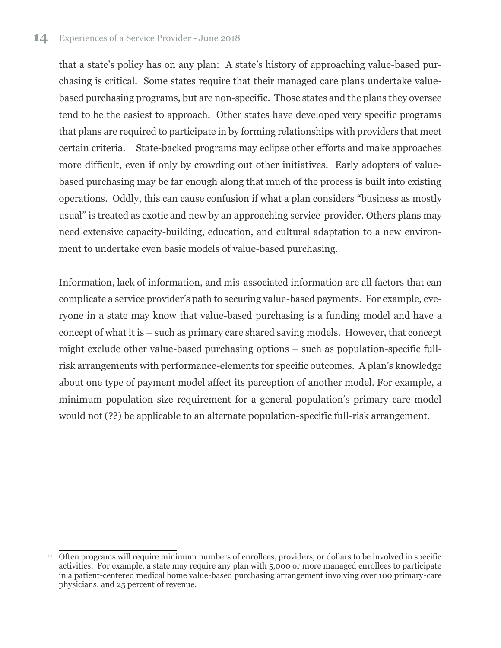that a state's policy has on any plan: A state's history of approaching value-based purchasing is critical. Some states require that their managed care plans undertake valuebased purchasing programs, but are non-specific. Those states and the plans they oversee tend to be the easiest to approach. Other states have developed very specific programs that plans are required to participate in by forming relationships with providers that meet certain criteria. 11 State-backed programs may eclipse other efforts and make approaches more difficult, even if only by crowding out other initiatives. Early adopters of valuebased purchasing may be far enough along that much of the process is built into existing operations. Oddly, this can cause confusion if what a plan considers "business as mostly usual" is treated as exotic and new by an approaching service-provider. Others plans may need extensive capacity-building, education, and cultural adaptation to a new environment to undertake even basic models of value-based purchasing.

Information, lack of information, and mis-associated information are all factors that can complicate a service provider's path to securing value-based payments. For example, everyone in a state may know that value-based purchasing is a funding model and have a concept of what it is – such as primary care shared saving models. However, that concept might exclude other value-based purchasing options – such as population-specific fullrisk arrangements with performance-elements for specific outcomes. A plan's knowledge about one type of payment model affect its perception of another model. For example, a minimum population size requirement for a general population's primary care model would not (??) be applicable to an alternate population-specific full-risk arrangement.

j <sup>11</sup> Often programs will require minimum numbers of enrollees, providers, or dollars to be involved in specific activities. For example, a state may require any plan with 5,000 or more managed enrollees to participate in a patient-centered medical home value-based purchasing arrangement involving over 100 primary-care physicians, and 25 percent of revenue.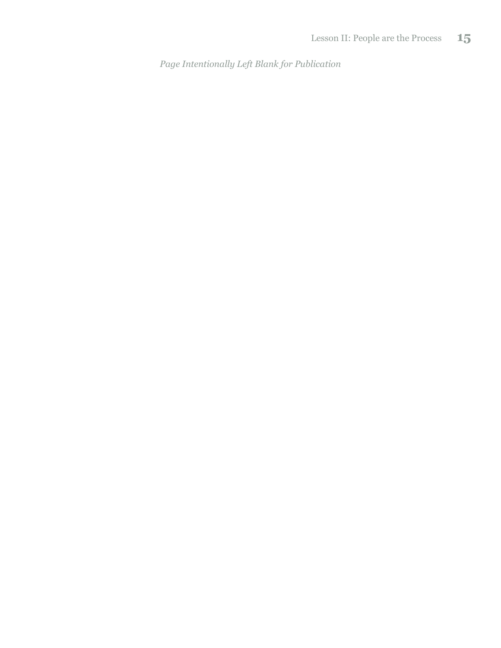*Page Intentionally Left Blank for Publication*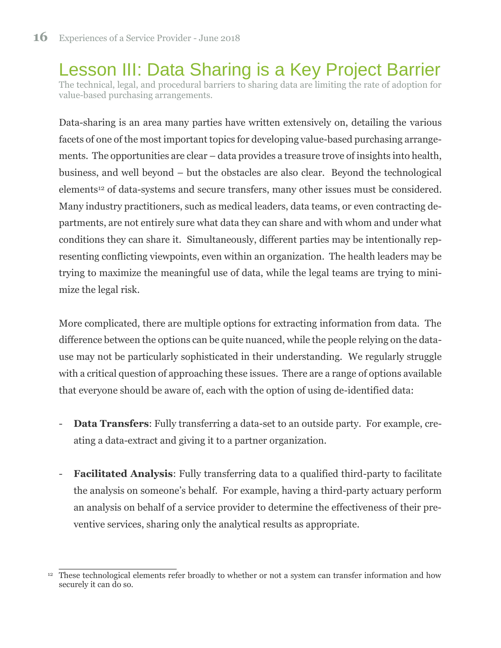Lesson III: Data Sharing is a Key Project Barrier The technical, legal, and procedural barriers to sharing data are limiting the rate of adoption for value-based purchasing arrangements.

Data-sharing is an area many parties have written extensively on, detailing the various facets of one of the most important topics for developing value-based purchasing arrangements. The opportunities are clear – data provides a treasure trove of insights into health, business, and well beyond – but the obstacles are also clear. Beyond the technological elements<sup>12</sup> of data-systems and secure transfers, many other issues must be considered. Many industry practitioners, such as medical leaders, data teams, or even contracting departments, are not entirely sure what data they can share and with whom and under what conditions they can share it. Simultaneously, different parties may be intentionally representing conflicting viewpoints, even within an organization. The health leaders may be trying to maximize the meaningful use of data, while the legal teams are trying to minimize the legal risk.

More complicated, there are multiple options for extracting information from data. The difference between the options can be quite nuanced, while the people relying on the datause may not be particularly sophisticated in their understanding. We regularly struggle with a critical question of approaching these issues. There are a range of options available that everyone should be aware of, each with the option of using de-identified data:

- **Data Transfers:** Fully transferring a data-set to an outside party. For example, creating a data-extract and giving it to a partner organization.
- **Facilitated Analysis**: Fully transferring data to a qualified third-party to facilitate the analysis on someone's behalf. For example, having a third-party actuary perform an analysis on behalf of a service provider to determine the effectiveness of their preventive services, sharing only the analytical results as appropriate.

<sup>&</sup>lt;sup>12</sup> These technological elements refer broadly to whether or not a system can transfer information and how securely it can do so.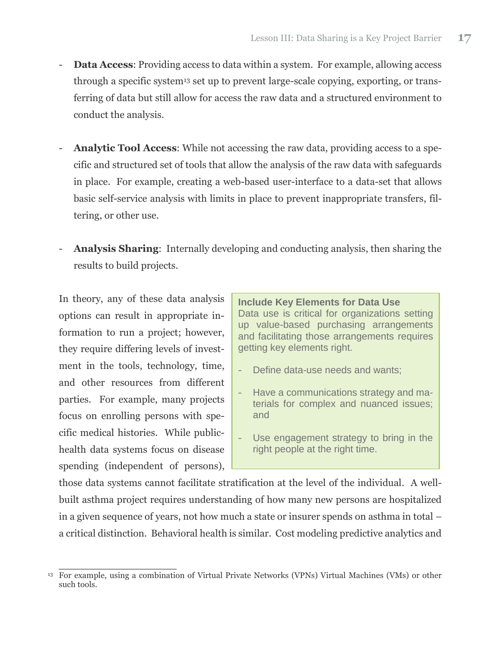- **Data Access:** Providing access to data within a system. For example, allowing access through a specific system<sup>13</sup> set up to prevent large-scale copying, exporting, or transferring of data but still allow for access the raw data and a structured environment to conduct the analysis.
- Analytic Tool Access: While not accessing the raw data, providing access to a specific and structured set of tools that allow the analysis of the raw data with safeguards in place. For example, creating a web-based user-interface to a data-set that allows basic self-service analysis with limits in place to prevent inappropriate transfers, filtering, or other use.
- **Analysis Sharing**: Internally developing and conducting analysis, then sharing the results to build projects.

In theory, any of these data analysis options can result in appropriate information to run a project; however, they require differing levels of investment in the tools, technology, time, and other resources from different parties. For example, many projects focus on enrolling persons with specific medical histories. While publichealth data systems focus on disease spending (independent of persons),

**Include Key Elements for Data Use** Data use is critical for organizations setting up value-based purchasing arrangements and facilitating those arrangements requires getting key elements right.

- Define data-use needs and wants;
- Have a communications strategy and materials for complex and nuanced issues; and
- Use engagement strategy to bring in the right people at the right time.

those data systems cannot facilitate stratification at the level of the individual. A wellbuilt asthma project requires understanding of how many new persons are hospitalized in a given sequence of years, not how much a state or insurer spends on asthma in total – a critical distinction. Behavioral health is similar. Cost modeling predictive analytics and

<sup>&</sup>lt;sup>13</sup> For example, using a combination of Virtual Private Networks (VPNs) Virtual Machines (VMs) or other such tools.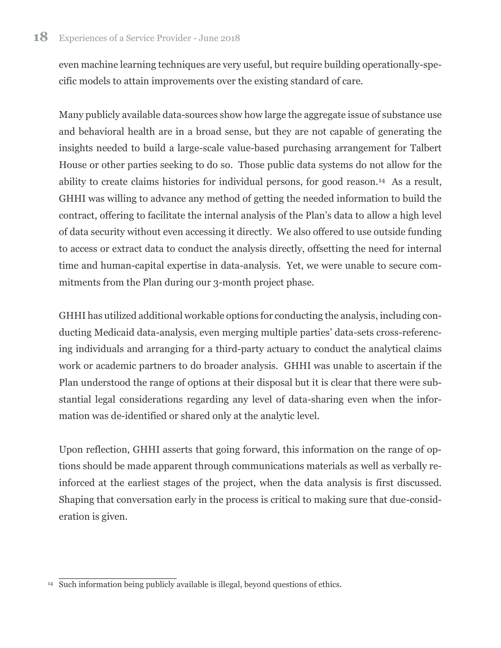even machine learning techniques are very useful, but require building operationally-specific models to attain improvements over the existing standard of care.

Many publicly available data-sources show how large the aggregate issue of substance use and behavioral health are in a broad sense, but they are not capable of generating the insights needed to build a large-scale value-based purchasing arrangement for Talbert House or other parties seeking to do so. Those public data systems do not allow for the ability to create claims histories for individual persons, for good reason.14 As a result, GHHI was willing to advance any method of getting the needed information to build the contract, offering to facilitate the internal analysis of the Plan's data to allow a high level of data security without even accessing it directly. We also offered to use outside funding to access or extract data to conduct the analysis directly, offsetting the need for internal time and human-capital expertise in data-analysis. Yet, we were unable to secure commitments from the Plan during our 3-month project phase.

GHHI has utilized additional workable options for conducting the analysis, including conducting Medicaid data-analysis, even merging multiple parties' data-sets cross-referencing individuals and arranging for a third-party actuary to conduct the analytical claims work or academic partners to do broader analysis. GHHI was unable to ascertain if the Plan understood the range of options at their disposal but it is clear that there were substantial legal considerations regarding any level of data-sharing even when the information was de-identified or shared only at the analytic level.

Upon reflection, GHHI asserts that going forward, this information on the range of options should be made apparent through communications materials as well as verbally reinforced at the earliest stages of the project, when the data analysis is first discussed. Shaping that conversation early in the process is critical to making sure that due-consideration is given.

 $\overline{14}$  Such information being publicly available is illegal, beyond questions of ethics.